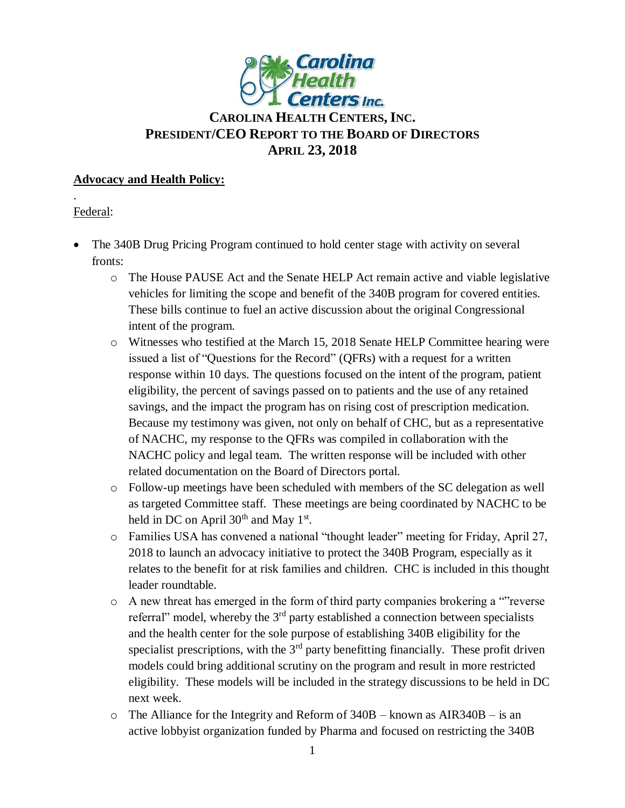

# **CAROLINA HEALTH CENTERS, INC. PRESIDENT/CEO REPORT TO THE BOARD OF DIRECTORS APRIL 23, 2018**

### **Advocacy and Health Policy:**

# Federal:

.

- The 340B Drug Pricing Program continued to hold center stage with activity on several fronts:
	- o The House PAUSE Act and the Senate HELP Act remain active and viable legislative vehicles for limiting the scope and benefit of the 340B program for covered entities. These bills continue to fuel an active discussion about the original Congressional intent of the program.
	- o Witnesses who testified at the March 15, 2018 Senate HELP Committee hearing were issued a list of "Questions for the Record" (QFRs) with a request for a written response within 10 days. The questions focused on the intent of the program, patient eligibility, the percent of savings passed on to patients and the use of any retained savings, and the impact the program has on rising cost of prescription medication. Because my testimony was given, not only on behalf of CHC, but as a representative of NACHC, my response to the QFRs was compiled in collaboration with the NACHC policy and legal team. The written response will be included with other related documentation on the Board of Directors portal.
	- o Follow-up meetings have been scheduled with members of the SC delegation as well as targeted Committee staff. These meetings are being coordinated by NACHC to be held in DC on April  $30<sup>th</sup>$  and May  $1<sup>st</sup>$ .
	- o Families USA has convened a national "thought leader" meeting for Friday, April 27, 2018 to launch an advocacy initiative to protect the 340B Program, especially as it relates to the benefit for at risk families and children. CHC is included in this thought leader roundtable.
	- o A new threat has emerged in the form of third party companies brokering a ""reverse referral" model, whereby the 3rd party established a connection between specialists and the health center for the sole purpose of establishing 340B eligibility for the specialist prescriptions, with the  $3<sup>rd</sup>$  party benefitting financially. These profit driven models could bring additional scrutiny on the program and result in more restricted eligibility. These models will be included in the strategy discussions to be held in DC next week.
	- $\circ$  The Alliance for the Integrity and Reform of 340B known as AIR340B is an active lobbyist organization funded by Pharma and focused on restricting the 340B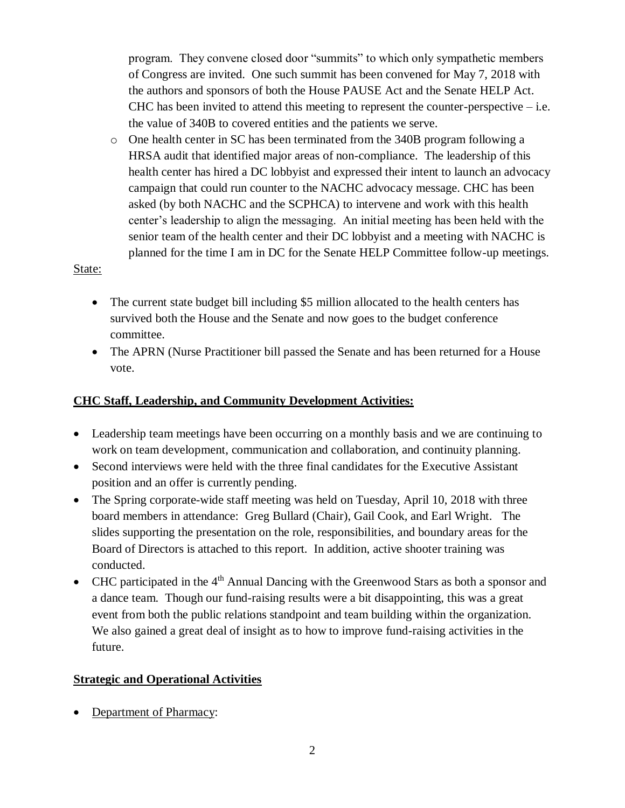program. They convene closed door "summits" to which only sympathetic members of Congress are invited. One such summit has been convened for May 7, 2018 with the authors and sponsors of both the House PAUSE Act and the Senate HELP Act. CHC has been invited to attend this meeting to represent the counter-perspective  $-$  i.e. the value of 340B to covered entities and the patients we serve.

o One health center in SC has been terminated from the 340B program following a HRSA audit that identified major areas of non-compliance. The leadership of this health center has hired a DC lobbyist and expressed their intent to launch an advocacy campaign that could run counter to the NACHC advocacy message. CHC has been asked (by both NACHC and the SCPHCA) to intervene and work with this health center's leadership to align the messaging. An initial meeting has been held with the senior team of the health center and their DC lobbyist and a meeting with NACHC is planned for the time I am in DC for the Senate HELP Committee follow-up meetings.

#### State:

- The current state budget bill including \$5 million allocated to the health centers has survived both the House and the Senate and now goes to the budget conference committee.
- The APRN (Nurse Practitioner bill passed the Senate and has been returned for a House vote.

# **CHC Staff, Leadership, and Community Development Activities:**

- Leadership team meetings have been occurring on a monthly basis and we are continuing to work on team development, communication and collaboration, and continuity planning.
- Second interviews were held with the three final candidates for the Executive Assistant position and an offer is currently pending.
- The Spring corporate-wide staff meeting was held on Tuesday, April 10, 2018 with three board members in attendance: Greg Bullard (Chair), Gail Cook, and Earl Wright. The slides supporting the presentation on the role, responsibilities, and boundary areas for the Board of Directors is attached to this report. In addition, active shooter training was conducted.
- CHC participated in the  $4<sup>th</sup>$  Annual Dancing with the Greenwood Stars as both a sponsor and a dance team. Though our fund-raising results were a bit disappointing, this was a great event from both the public relations standpoint and team building within the organization. We also gained a great deal of insight as to how to improve fund-raising activities in the future.

### **Strategic and Operational Activities**

Department of Pharmacy: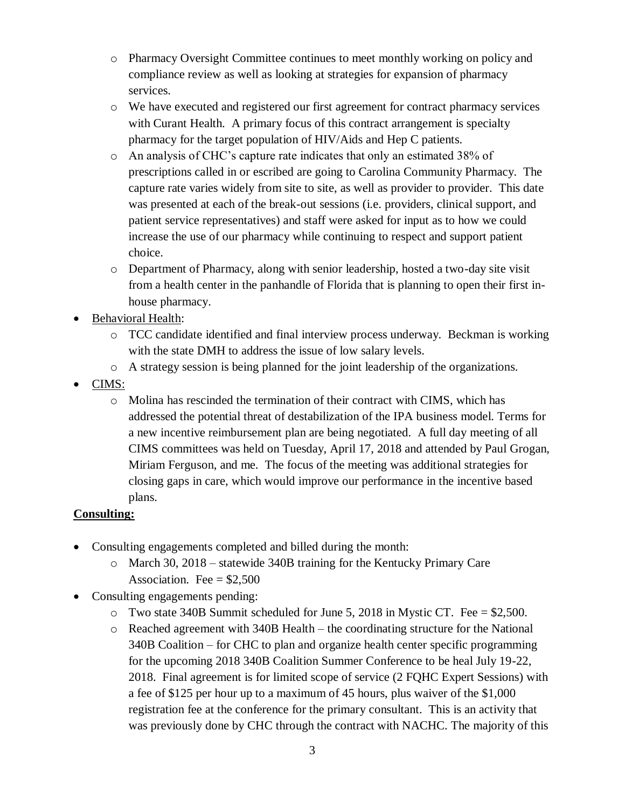- o Pharmacy Oversight Committee continues to meet monthly working on policy and compliance review as well as looking at strategies for expansion of pharmacy services.
- o We have executed and registered our first agreement for contract pharmacy services with Curant Health. A primary focus of this contract arrangement is specialty pharmacy for the target population of HIV/Aids and Hep C patients.
- o An analysis of CHC's capture rate indicates that only an estimated 38% of prescriptions called in or escribed are going to Carolina Community Pharmacy. The capture rate varies widely from site to site, as well as provider to provider. This date was presented at each of the break-out sessions (i.e. providers, clinical support, and patient service representatives) and staff were asked for input as to how we could increase the use of our pharmacy while continuing to respect and support patient choice.
- o Department of Pharmacy, along with senior leadership, hosted a two-day site visit from a health center in the panhandle of Florida that is planning to open their first inhouse pharmacy.
- Behavioral Health:
	- o TCC candidate identified and final interview process underway. Beckman is working with the state DMH to address the issue of low salary levels.
	- o A strategy session is being planned for the joint leadership of the organizations.
- CIMS:
	- $\circ$  Molina has rescinded the termination of their contract with CIMS, which has addressed the potential threat of destabilization of the IPA business model. Terms for a new incentive reimbursement plan are being negotiated. A full day meeting of all CIMS committees was held on Tuesday, April 17, 2018 and attended by Paul Grogan, Miriam Ferguson, and me. The focus of the meeting was additional strategies for closing gaps in care, which would improve our performance in the incentive based plans.

# **Consulting:**

- Consulting engagements completed and billed during the month:
	- o March 30, 2018 statewide 340B training for the Kentucky Primary Care Association. Fee  $=$  \$2,500
- Consulting engagements pending:
	- o Two state 340B Summit scheduled for June 5, 2018 in Mystic CT. Fee = \$2,500.
	- o Reached agreement with 340B Health the coordinating structure for the National 340B Coalition – for CHC to plan and organize health center specific programming for the upcoming 2018 340B Coalition Summer Conference to be heal July 19-22, 2018. Final agreement is for limited scope of service (2 FQHC Expert Sessions) with a fee of \$125 per hour up to a maximum of 45 hours, plus waiver of the \$1,000 registration fee at the conference for the primary consultant. This is an activity that was previously done by CHC through the contract with NACHC. The majority of this